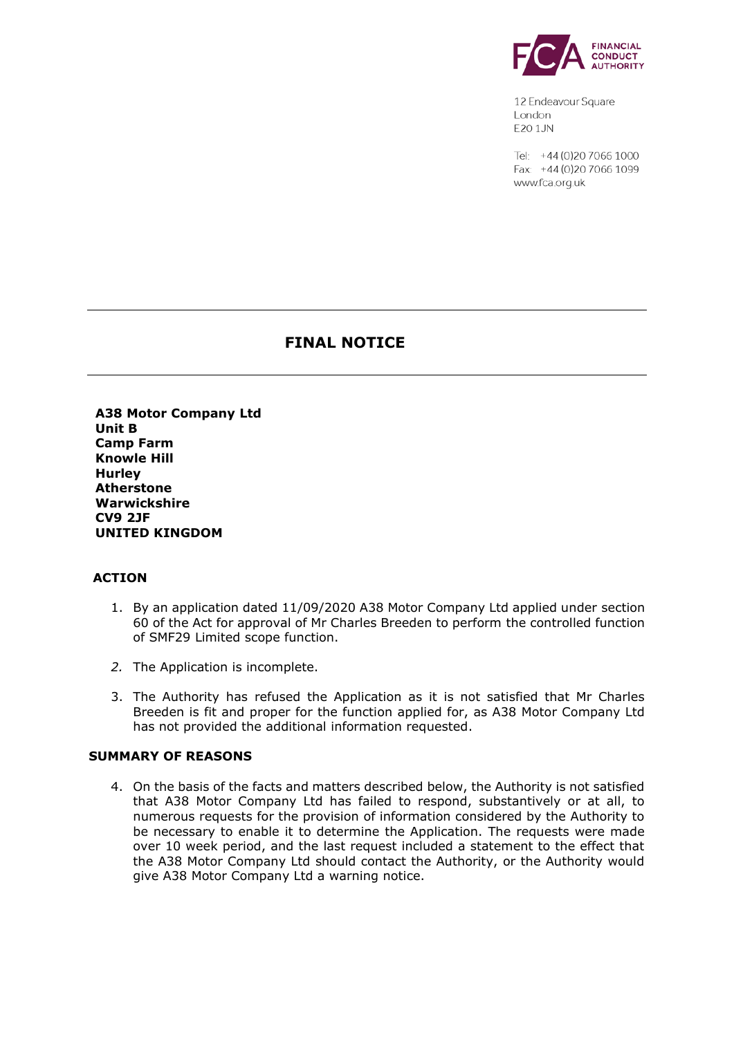

12 Endeavour Square London E201JN

Tel: +44 (0) 20 7066 1000 Fax: +44 (0) 20 7066 1099 www.fca.org.uk

# **FINAL NOTICE**

 **A38 Motor Company Ltd Unit B Camp Farm Knowle Hill Hurley Atherstone Warwickshire CV9 2JF UNITED KINGDOM** 

### **ACTION**

- 1. By an application dated 11/09/2020 A38 Motor Company Ltd applied under section 60 of the Act for approval of Mr Charles Breeden to perform the controlled function of SMF29 Limited scope function.
- *2.* The Application is incomplete.
- 3. The Authority has refused the Application as it is not satisfied that Mr Charles Breeden is fit and proper for the function applied for, as A38 Motor Company Ltd has not provided the additional information requested.

#### **SUMMARY OF REASONS**

 4. On the basis of the facts and matters described below, the Authority is not satisfied that A38 Motor Company Ltd has failed to respond, substantively or at all, to numerous requests for the provision of information considered by the Authority to be necessary to enable it to determine the Application. The requests were made over 10 week period, and the last request included a statement to the effect that the A38 Motor Company Ltd should contact the Authority, or the Authority would give A38 Motor Company Ltd a warning notice.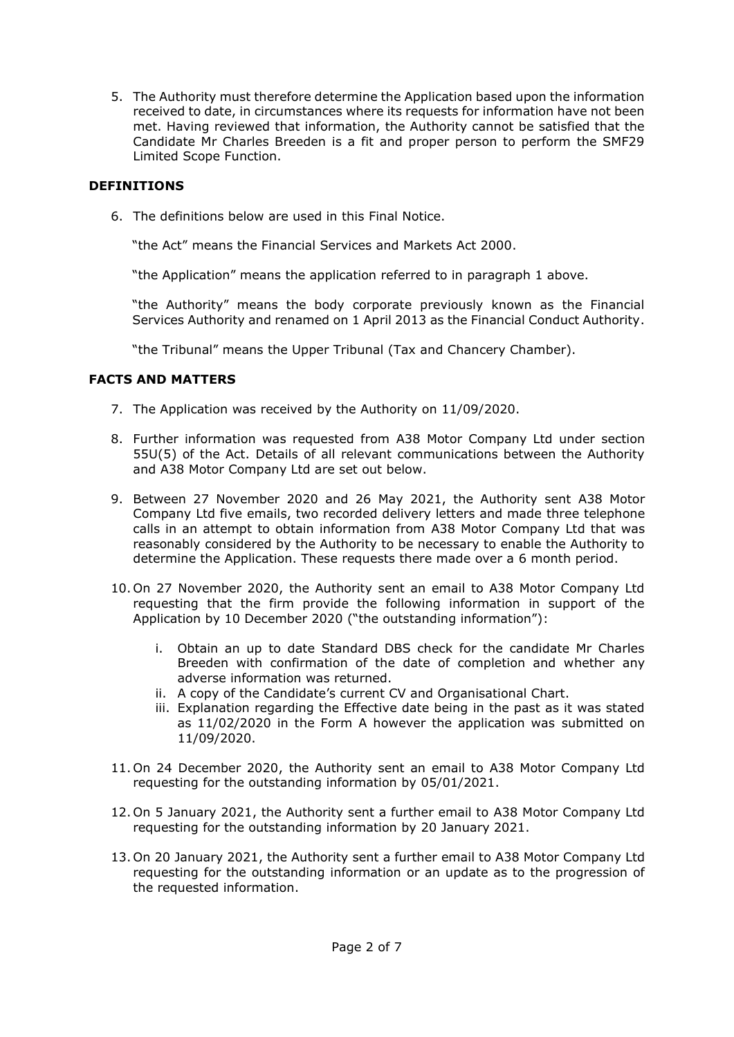5. The Authority must therefore determine the Application based upon the information received to date, in circumstances where its requests for information have not been met. Having reviewed that information, the Authority cannot be satisfied that the Candidate Mr Charles Breeden is a fit and proper person to perform the SMF29 Limited Scope Function.

## **DEFINITIONS**

6. The definitions below are used in this Final Notice.

"the Act" means the Financial Services and Markets Act 2000.

"the Application" means the application referred to in paragraph 1 above.

 "the Authority" means the body corporate previously known as the Financial Services Authority and renamed on 1 April 2013 as the Financial Conduct Authority.

"the Tribunal" means the Upper Tribunal (Tax and Chancery Chamber).

## **FACTS AND MATTERS**

- 7. The Application was received by the Authority on 11/09/2020.
- 8. Further information was requested from A38 Motor Company Ltd under section 55U(5) of the Act. Details of all relevant communications between the Authority and A38 Motor Company Ltd are set out below.
- Company Ltd five emails, two recorded delivery letters and made three telephone calls in an attempt to obtain information from A38 Motor Company Ltd that was reasonably considered by the Authority to be necessary to enable the Authority to determine the Application. These requests there made over a 6 month period. 9. Between 27 November 2020 and 26 May 2021, the Authority sent A38 Motor
- 10. On 27 November 2020, the Authority sent an email to A38 Motor Company Ltd requesting that the firm provide the following information in support of the Application by 10 December 2020 ("the outstanding information"):
	- i. Obtain an up to date Standard DBS check for the candidate Mr Charles Breeden with confirmation of the date of completion and whether any adverse information was returned.
	- ii. A copy of the Candidate's current CV and Organisational Chart.
	- iii. Explanation regarding the Effective date being in the past as it was stated as 11/02/2020 in the Form A however the application was submitted on 11/09/2020.
- 11. On 24 December 2020, the Authority sent an email to A38 Motor Company Ltd requesting for the outstanding information by 05/01/2021.
- 12. On 5 January 2021, the Authority sent a further email to A38 Motor Company Ltd requesting for the outstanding information by 20 January 2021.
- 13. On 20 January 2021, the Authority sent a further email to A38 Motor Company Ltd requesting for the outstanding information or an update as to the progression of the requested information.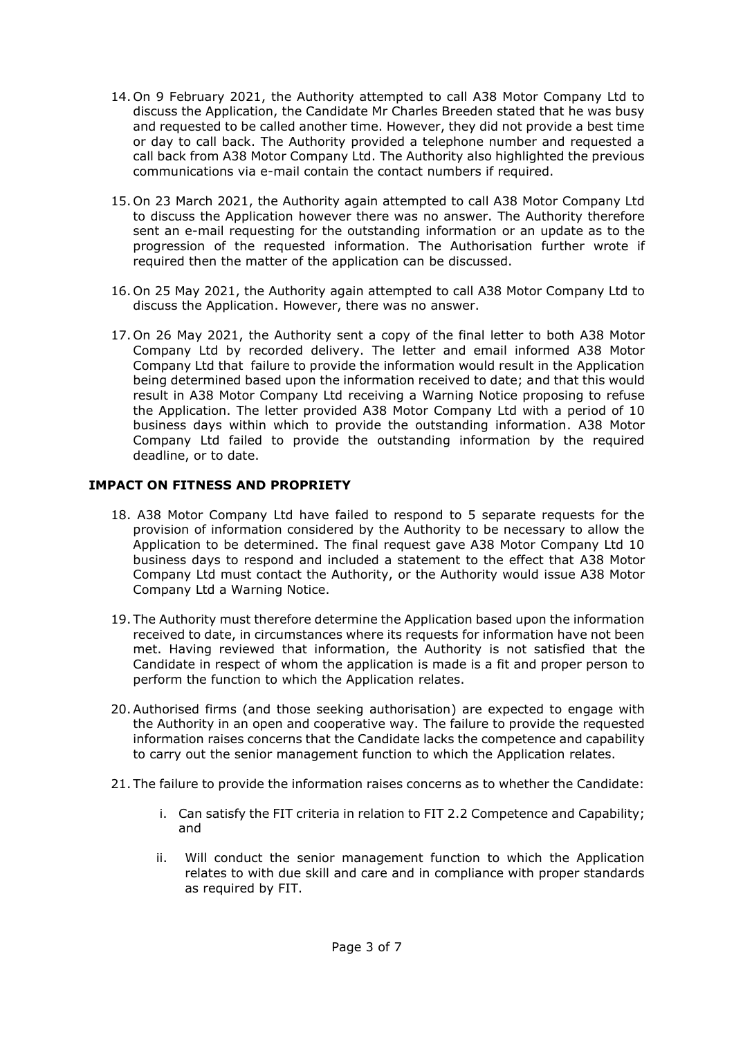- 14. On 9 February 2021, the Authority attempted to call A38 Motor Company Ltd to discuss the Application, the Candidate Mr Charles Breeden stated that he was busy and requested to be called another time. However, they did not provide a best time or day to call back. The Authority provided a telephone number and requested a call back from A38 Motor Company Ltd. The Authority also highlighted the previous communications via e-mail contain the contact numbers if required.
- 15. On 23 March 2021, the Authority again attempted to call A38 Motor Company Ltd to discuss the Application however there was no answer. The Authority therefore sent an e-mail requesting for the outstanding information or an update as to the progression of the requested information. The Authorisation further wrote if required then the matter of the application can be discussed.
- 16. On 25 May 2021, the Authority again attempted to call A38 Motor Company Ltd to discuss the Application. However, there was no answer.
- 17. On 26 May 2021, the Authority sent a copy of the final letter to both A38 Motor Company Ltd by recorded delivery. The letter and email informed A38 Motor Company Ltd that failure to provide the information would result in the Application being determined based upon the information received to date; and that this would result in A38 Motor Company Ltd receiving a Warning Notice proposing to refuse the Application. The letter provided A38 Motor Company Ltd with a period of 10 business days within which to provide the outstanding information. A38 Motor Company Ltd failed to provide the outstanding information by the required deadline, or to date.

### **IMPACT ON FITNESS AND PROPRIETY**

- 18. A38 Motor Company Ltd have failed to respond to 5 separate requests for the provision of information considered by the Authority to be necessary to allow the Application to be determined. The final request gave A38 Motor Company Ltd 10 business days to respond and included a statement to the effect that A38 Motor Company Ltd must contact the Authority, or the Authority would issue A38 Motor Company Ltd a Warning Notice.
- 19. The Authority must therefore determine the Application based upon the information received to date, in circumstances where its requests for information have not been met. Having reviewed that information, the Authority is not satisfied that the perform the function to which the Application relates. Candidate in respect of whom the application is made is a fit and proper person to
- 20.Authorised firms (and those seeking authorisation) are expected to engage with the Authority in an open and cooperative way. The failure to provide the requested information raises concerns that the Candidate lacks the competence and capability to carry out the senior management function to which the Application relates.
- 21. The failure to provide the information raises concerns as to whether the Candidate:
	- i. Can satisfy the FIT criteria in relation to FIT 2.2 Competence and Capability; and
	- ii. Will conduct the senior management function to which the Application relates to with due skill and care and in compliance with proper standards as required by FIT.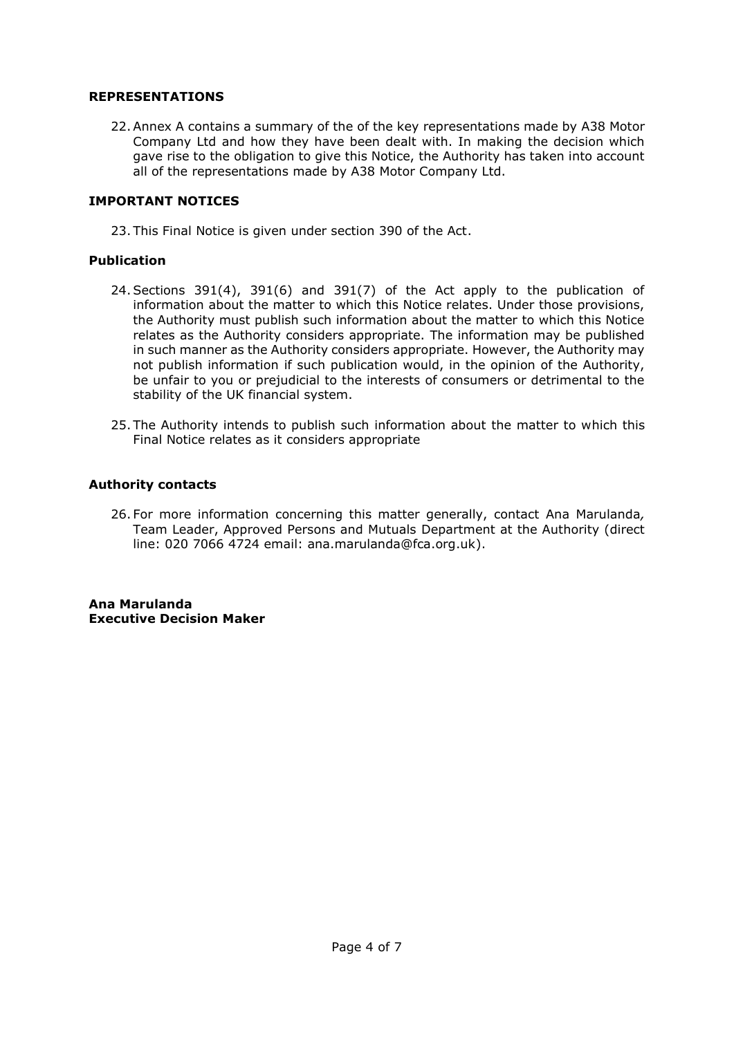#### **REPRESENTATIONS**

 22.Annex A contains a summary of the of the key representations made by A38 Motor Company Ltd and how they have been dealt with. In making the decision which gave rise to the obligation to give this Notice, the Authority has taken into account all of the representations made by A38 Motor Company Ltd.

#### **IMPORTANT NOTICES**

23. This Final Notice is given under section 390 of the Act.

#### **Publication**

- 24.Sections 391(4), 391(6) and 391(7) of the Act apply to the publication of information about the matter to which this Notice relates. Under those provisions, the Authority must publish such information about the matter to which this Notice relates as the Authority considers appropriate. The information may be published in such manner as the Authority considers appropriate. However, the Authority may not publish information if such publication would, in the opinion of the Authority, be unfair to you or prejudicial to the interests of consumers or detrimental to the stability of the UK financial system.
- 25. The Authority intends to publish such information about the matter to which this Final Notice relates as it considers appropriate

#### **Authority contacts**

 26. For more information concerning this matter generally, contact Ana Marulanda*,*  Team Leader, Approved Persons and Mutuals Department at the Authority (direct line: 020 7066 4724 email: ana.marulanda@fca.org.uk).

 **Executive Decision Maker Ana Marulanda**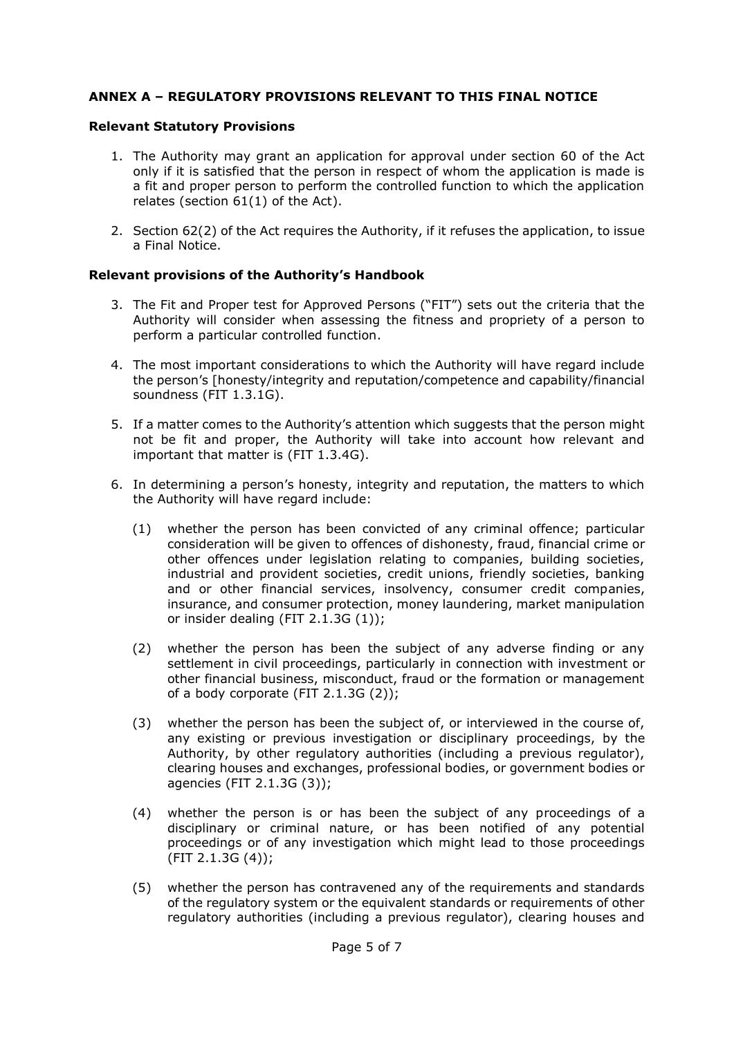## **ANNEX A – REGULATORY PROVISIONS RELEVANT TO THIS FINAL NOTICE**

#### **Relevant Statutory Provisions**

- 1. The Authority may grant an application for approval under section 60 of the Act only if it is satisfied that the person in respect of whom the application is made is a fit and proper person to perform the controlled function to which the application relates (section 61(1) of the Act).
- 2. Section 62(2) of the Act requires the Authority, if it refuses the application, to issue a Final Notice.

### **Relevant provisions of the Authority's Handbook**

- 3. The Fit and Proper test for Approved Persons ("FIT") sets out the criteria that the Authority will consider when assessing the fitness and propriety of a person to perform a particular controlled function.
- 4. The most important considerations to which the Authority will have regard include the person's [honesty/integrity and reputation/competence and capability/financial soundness (FIT 1.3.1G).
- 5. If a matter comes to the Authority's attention which suggests that the person might not be fit and proper, the Authority will take into account how relevant and important that matter is (FIT 1.3.4G).
- 6. In determining a person's honesty, integrity and reputation, the matters to which the Authority will have regard include:
	- (1) whether the person has been convicted of any criminal offence; particular consideration will be given to offences of dishonesty, fraud, financial crime or other offences under legislation relating to companies, building societies, industrial and provident societies, credit unions, friendly societies, banking and or other financial services, insolvency, consumer credit companies, insurance, and consumer protection, money laundering, market manipulation or insider dealing (FIT 2.1.3G (1));
	- (2) whether the person has been the subject of any adverse finding or any settlement in civil proceedings, particularly in connection with investment or other financial business, misconduct, fraud or the formation or management of a body corporate (FIT 2.1.3G (2));
	- (3) whether the person has been the subject of, or interviewed in the course of, any existing or previous investigation or disciplinary proceedings, by the Authority, by other regulatory authorities (including a previous regulator), clearing houses and exchanges, professional bodies, or government bodies or agencies (FIT 2.1.3G (3));
	- (4) whether the person is or has been the subject of any proceedings of a disciplinary or criminal nature, or has been notified of any potential proceedings or of any investigation which might lead to those proceedings  $(FIT 2.1.3G (4));$
	- (5) whether the person has contravened any of the requirements and standards of the regulatory system or the equivalent standards or requirements of other regulatory authorities (including a previous regulator), clearing houses and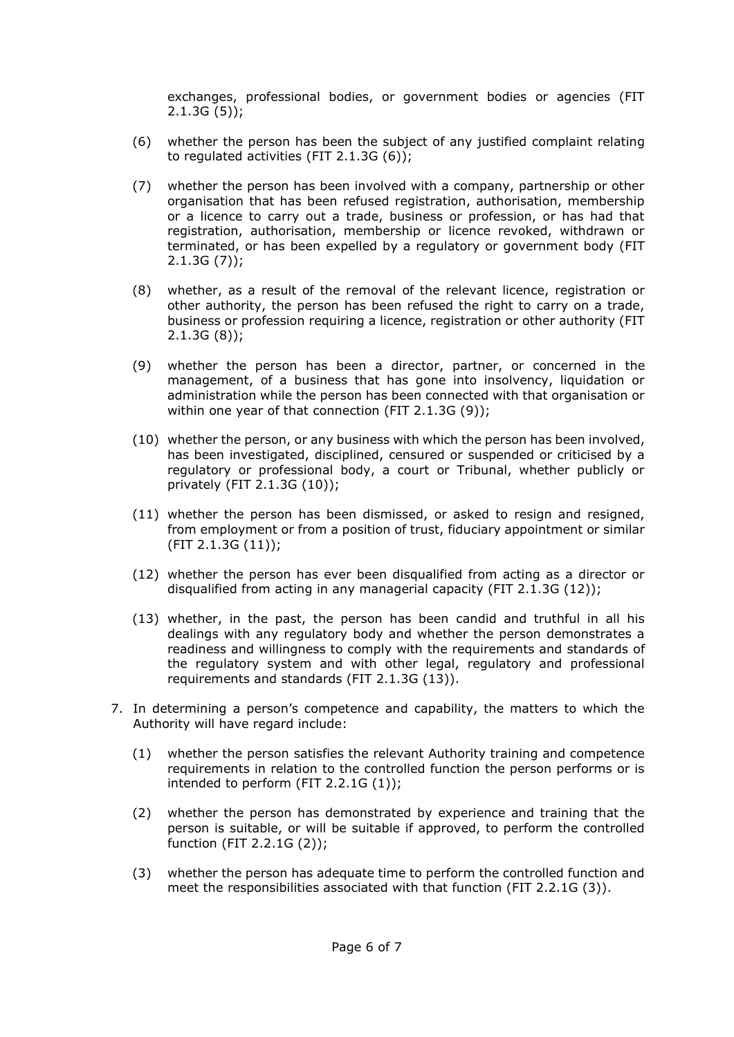exchanges, professional bodies, or government bodies or agencies (FIT  $2.1.3G(5)$ ;

- (6) whether the person has been the subject of any justified complaint relating to regulated activities (FIT 2.1.3G (6));
- (7) whether the person has been involved with a company, partnership or other organisation that has been refused registration, authorisation, membership or a licence to carry out a trade, business or profession, or has had that registration, authorisation, membership or licence revoked, withdrawn or terminated, or has been expelled by a regulatory or government body (FIT 2.1.3G (7));
- (8) whether, as a result of the removal of the relevant licence, registration or other authority, the person has been refused the right to carry on a trade, business or profession requiring a licence, registration or other authority (FIT 2.1.3G (8));
- (9) whether the person has been a director, partner, or concerned in the management, of a business that has gone into insolvency, liquidation or administration while the person has been connected with that organisation or within one year of that connection (FIT 2.1.3G (9));
- (10) whether the person, or any business with which the person has been involved, has been investigated, disciplined, censured or suspended or criticised by a regulatory or professional body, a court or Tribunal, whether publicly or privately (FIT 2.1.3G (10));
- (11) whether the person has been dismissed, or asked to resign and resigned, from employment or from a position of trust, fiduciary appointment or similar (FIT 2.1.3G (11));
- (12) whether the person has ever been disqualified from acting as a director or disqualified from acting in any managerial capacity (FIT 2.1.3G (12));
- (13) whether, in the past, the person has been candid and truthful in all his dealings with any regulatory body and whether the person demonstrates a readiness and willingness to comply with the requirements and standards of the regulatory system and with other legal, regulatory and professional requirements and standards (FIT 2.1.3G (13)).
- 7. In determining a person's competence and capability, the matters to which the Authority will have regard include:
	- (1) whether the person satisfies the relevant Authority training and competence requirements in relation to the controlled function the person performs or is intended to perform (FIT 2.2.1G (1));
	- (2) whether the person has demonstrated by experience and training that the person is suitable, or will be suitable if approved, to perform the controlled function (FIT 2.2.1G (2));
	- (3) whether the person has adequate time to perform the controlled function and meet the responsibilities associated with that function (FIT 2.2.1G (3)).